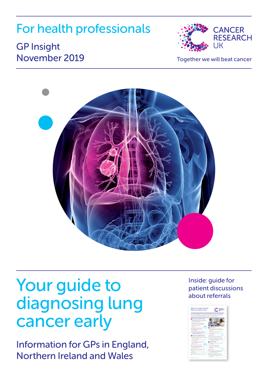## For health professionals

### GP Insight November 2019 Together we will beat cancer





## Your guide to diagnosing lung cancer early

Information for GPs in England, Northern Ireland and Wales

Inside: guide for patient discussions about referrals

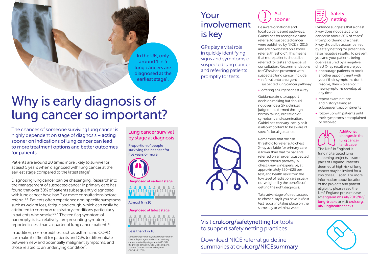### Your involvement is key

GPs play a vital role in quickly identifying signs and symptoms of suspected lung cancer and referring patients promptly for tests.

• referral onto an urgent

Act

- suspected lung cancer pathway
- offering an urgent chest X-ray

Guidance aims to support decision making but should not override a GP's clinical judgement, formed through history taking, elicitation of symptoms and examination. specific local guidance.

Remember that the risk threshold for referral to chest X-ray available for primary care is lower than that for patients referred on an urgent suspected cancer referral pathway. A chest X-ray is inexpensive, at approximately £20–£25 per test, and health risks from the low level of radiation are usually outweighed by the benefits of getting the right diagnosis.

Take advantage of direct access to chest X-ray if you have it. Most test reporting takes place on the same day or within a week.

### Visit [cruk.org/safetynetting](http://cruk.org/safetynetting) for tools to support safety netting practices

Download NICE referral guideline summaries at [cruk.org/NICEsummary](http://cruk.org/NICEsummary)



Be aware of national and local guidance and pathways. Guidelines for recognition and referral for suspected cancer were published by NICE in 2015 and are now based on a lower referral threshold<sup>8</sup>. This means that more patients should be referred for tests and specialist consultation. Recommendations for GPs when presented with suspected lung cancer include:

- 
- 

Guidelines can vary locally so it is also important to be aware of



X-ray does not detect lung cancer in about 20% of cases<sup>[9](#page-2-8)</sup>. Prompt ordering of a chest X-ray should be accompanied by safety netting for potentially false negative results. To prevent you and your patients being over reassured by a negative chest X-ray result ensure you:

Safety

- encourage patients to book another appointment with you if their symptoms don't resolve, they worsen or if new symptoms develop at any time
- repeat examinations and history taking at subsequent appointments
- follow up with patients until their symptoms are explained or resolved



The NHS in England is funding targeted lung screening projects in some parts of England. Patients deemed at high risk of lung cancer may be invited for a low dose CT scan. For more information about location of the projects and patient eligibility please read the NHS England press release at: [england.nhs.uk/2019/02/](http://england.nhs.uk/2019/02/lung-trucks) [lung-trucks](http://england.nhs.uk/2019/02/lung-trucks) or visit [cruk.org.](http://cruk.org.uk/lunghealthchecks) [uk/lunghealthchecks](http://cruk.org.uk/lunghealthchecks).



## Why is early diagnosis of lung cancer so important?

The chances of someone surviving lung cancer is highly dependent on stage of diagnosis – acting sooner on indications of lung cancer can lead to more treatment options and better outcomes for patients.

Patients are around 20 times more likely to survive for at least 5 years when diagnosed with lung cancer at the earliest stage compared to the latest stage<sup>[2](#page-2-0)</sup>.

Diagnosing lung cancer can be challenging. Research into the management of suspected cancer in primary care has found that over 30% of patients subsequently diagnosed with lung cancer have had 3 or more consultations before referral[3,](#page-2-1)[4](#page-2-2). Patients often experience non-specific symptoms such as weight loss, fatigue and cough, which can easily be attributed to common respiratory conditions particularly in patients who smoke<sup>[5,](#page-2-3)[6](#page-2-4),[7](#page-2-5)</sup>. The red flag symptom of haemoptysis is a relatively rare presenting symptom, reported in less than a quarter of lung cancer patients<sup>5</sup>.

In addition, co-morbidities such as asthma and COPD can make it difficult for patients and GPs to differentiate between new and potentially malignant symptoms, and those related to an underlying condition<sup>7</sup>.

#### Lung cancer survival by stage at diagnosis

In the UK, only around 1 in 5 lung cancers are diagnosed at the earliest stage<sup>1</sup>.

Proportion of people surviving their cancer for five years or more



Diagnosed at earliest stage



#### Almost 6 in 10

Diagnosed at latest stage



#### Less than 1 in 10

Earliest stage = stage 1; latest stage = stage 4. Data is 5-year age standardised net lung cancer survival by stage, adults (15-99) diagnosed between 2013-2017, England. Source: Cancer survival in England, ONS/PHE, 2019.

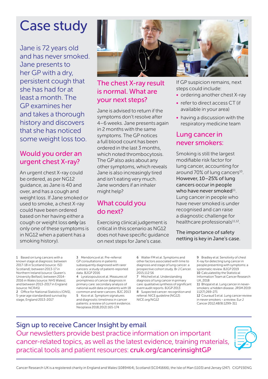## Case study

Jane is 72 years old and has never smoked. Jane presents to her GP with a dry, persistent cough that she has had for at least a month. The GP examines her and takes a thorough history and discovers that she has noticed some weight loss too.

#### Would you order an urgent chest X-ray?

An urgent chest X-ray could be ordered, as per NG12 guidance, as Jane is 40 and over, and has a cough and weight loss. If Jane smoked or used to smoke, a chest X-ray could have been ordered based on her having either a cough or weight loss only (as only one of these symptoms is in NG12 when a patient has a smoking history).



#### The chest X-ray result is normal. What are your next steps?

Jane is advised to return if the symptoms don't resolve after 4–6 weeks. Jane presents again in 2 months with the same symptoms. The GP notices a full blood count has been ordered in the last 3 months, which noted thrombocytosis. The GP also asks about any other symptoms, which reveals Jane is also increasingly tired and isn't eating very much. Jane wonders if an inhaler might help?

#### What could you do next?

Exercising clinical judgement is critical in this scenario as NG12 does not have specific quidance on next steps for Jane's case.

If GP suspicion remains, next steps could include:

- ordering another chest X-ray
- refer to direct access CT (if available in your area)
- having a discussion with the respiratory medicine team

#### Lung cancer in never smokers:

Smoking is still the largest modifiable risk factor for lung cancer, accounting for around 70% of lung cancers<sup>[10](#page-2-9)</sup>. However, 10–25% of lung cancers occur in people who have never smoked $^{11}$  $^{11}$  $^{11}$ . Lung cancer in people who have never smoked is under recognised and can raise a diagnostic challenge for healthcare professionals<sup>[11](#page-2-10),[12](#page-2-11)</sup>.

The importance of safety netting is key in Jane's case.

<span id="page-2-6"></span>1 Based on lung cancers with a known stage at diagnosis: between 2017-18 in Scotland (source: ISD Scotland); between 2013-17 in Northern Ireland (source: Queen's University Belfast); between 2014- 2016 in Wales (source: NHS Wales); and between 2013-2017 in England (source: NCRAS)

<span id="page-2-0"></span>2 Office for National Statistics (ONS), 5-year age standardised survival by stage, England 2013-2017

<span id="page-2-1"></span>3 Mendonca et al. Pre-referral GP consultations in patients subsequently diagnosed with rarer cancers: a study of patient-reported data. BJGP 2016

<span id="page-2-3"></span><span id="page-2-2"></span>4 Lyratzopoulos et al. Measures of promptness of cancer diagnosis in primary care: secondary analysis of national audit data on patients with 18 common and rarer cancers. BJC 2013 5 Koo et al. Symptom signatures and diagnostic timeliness in cancer patients: a review of current evidence. Neoplasia 2018;20(2):165-174

<span id="page-2-4"></span>6 Walter FM et al. Symptoms and other factors associated with time to diagnosis and stage of lung cancer: a prospective cohort study. Br J Cancer. 2015;112:S6

<span id="page-2-7"></span><span id="page-2-5"></span>7 Mitchell et al. Understanding diagnosis of lung cancer in primary care: qualitative synthesis of significant event audit reports. BJGP 2013 8 Suspected cancer: recognition and referral: NICE guideline [NG12]: [NICE.org/NG12](http://NICE.org/NG12)

<span id="page-2-8"></span>

| 9 Bradley et al. Sensitivity of chest |
|---------------------------------------|
| X-ray for detecting lung cancer in    |
| people presenting with symptoms: a    |
| systematic review. BJGP 2019          |
| 10 Calculated by the Statistical      |
| Information Team at Cancer Research   |
| UK. 2018                              |

<span id="page-2-10"></span><span id="page-2-9"></span>11 Bhopal et al. Lung cancer in neversmokers: a hidden disease. JRSM 2019: 112(7);269-271

<span id="page-2-11"></span>12 Couraud S et al. Lung cancer review in never smokers – a review. Eur J Cancer 2012;48(9):1299-311

Sign up to receive Cancer Insight by email Our newsletters provide best practice information on important cancer-related topics, as well as the latest evidence, training materials, practical tools and patient resources: [cruk.org/cancerinsightGP](http://cruk.org/cancerinsightGP)